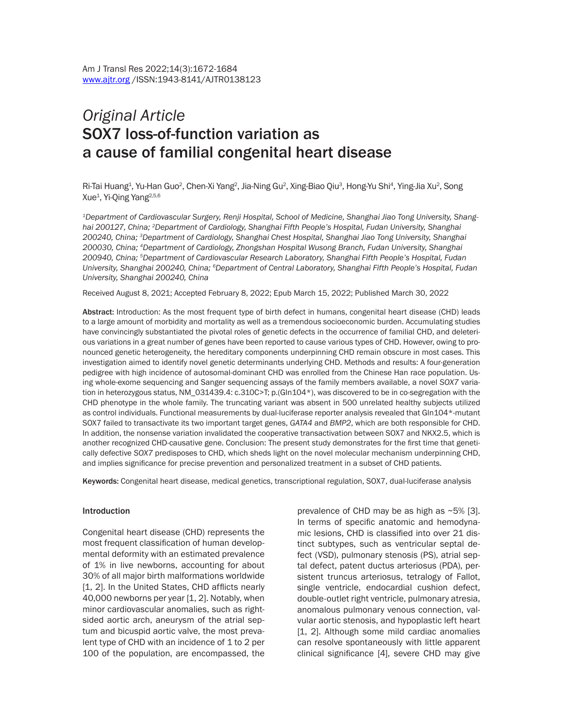# *Original Article* SOX7 loss-of-function variation as a cause of familial congenital heart disease

Ri-Tai Huang<sup>1</sup>, Yu-Han Guo<sup>2</sup>, Chen-Xi Yang<sup>2</sup>, Jia-Ning Gu<sup>2</sup>, Xing-Biao Qiu<sup>3</sup>, Hong-Yu Shi<sup>4</sup>, Ying-Jia Xu<sup>2</sup>, Song Xue<sup>1</sup>, Yi-Qing Yang<sup>2,5,6</sup>

*1Department of Cardiovascular Surgery, Renji Hospital, School of Medicine, Shanghai Jiao Tong University, Shanghai 200127, China; 2Department of Cardiology, Shanghai Fifth People's Hospital, Fudan University, Shanghai 200240, China; 3Department of Cardiology, Shanghai Chest Hospital, Shanghai Jiao Tong University, Shanghai 200030, China; 4Department of Cardiology, Zhongshan Hospital Wusong Branch, Fudan University, Shanghai 200940, China; 5Department of Cardiovascular Research Laboratory, Shanghai Fifth People's Hospital, Fudan University, Shanghai 200240, China; 6Department of Central Laboratory, Shanghai Fifth People's Hospital, Fudan University, Shanghai 200240, China*

Received August 8, 2021; Accepted February 8, 2022; Epub March 15, 2022; Published March 30, 2022

Abstract: Introduction: As the most frequent type of birth defect in humans, congenital heart disease (CHD) leads to a large amount of morbidity and mortality as well as a tremendous socioeconomic burden. Accumulating studies have convincingly substantiated the pivotal roles of genetic defects in the occurrence of familial CHD, and deleterious variations in a great number of genes have been reported to cause various types of CHD. However, owing to pronounced genetic heterogeneity, the hereditary components underpinning CHD remain obscure in most cases. This investigation aimed to identify novel genetic determinants underlying CHD. Methods and results: A four-generation pedigree with high incidence of autosomal-dominant CHD was enrolled from the Chinese Han race population. Using whole-exome sequencing and Sanger sequencing assays of the family members available, a novel *SOX7* variation in heterozygous status, NM\_031439.4: c.310C>T; p.(Gln104\*), was discovered to be in co-segregation with the CHD phenotype in the whole family. The truncating variant was absent in 500 unrelated healthy subjects utilized as control individuals. Functional measurements by dual-luciferase reporter analysis revealed that Gln104\*-mutant SOX7 failed to transactivate its two important target genes, *GATA4* and *BMP2*, which are both responsible for CHD. In addition, the nonsense variation invalidated the cooperative transactivation between SOX7 and NKX2.5, which is another recognized CHD-causative gene. Conclusion: The present study demonstrates for the first time that genetically defective *SOX7* predisposes to CHD, which sheds light on the novel molecular mechanism underpinning CHD, and implies significance for precise prevention and personalized treatment in a subset of CHD patients.

Keywords: Congenital heart disease, medical genetics, transcriptional regulation, SOX7, dual-luciferase analysis

#### Introduction

Congenital heart disease (CHD) represents the most frequent classification of human developmental deformity with an estimated prevalence of 1% in live newborns, accounting for about 30% of all major birth malformations worldwide [1, 2]. In the United States, CHD afflicts nearly 40,000 newborns per year [1, 2]. Notably, when minor cardiovascular anomalies, such as rightsided aortic arch, aneurysm of the atrial septum and bicuspid aortic valve, the most prevalent type of CHD with an incidence of 1 to 2 per 100 of the population, are encompassed, the

prevalence of CHD may be as high as ~5% [3]. In terms of specific anatomic and hemodynamic lesions, CHD is classified into over 21 distinct subtypes, such as ventricular septal defect (VSD), pulmonary stenosis (PS), atrial septal defect, patent ductus arteriosus (PDA), persistent truncus arteriosus, tetralogy of Fallot, single ventricle, endocardial cushion defect, double-outlet right ventricle, pulmonary atresia, anomalous pulmonary venous connection, valvular aortic stenosis, and hypoplastic left heart [1, 2]. Although some mild cardiac anomalies can resolve spontaneously with little apparent clinical significance [4], severe CHD may give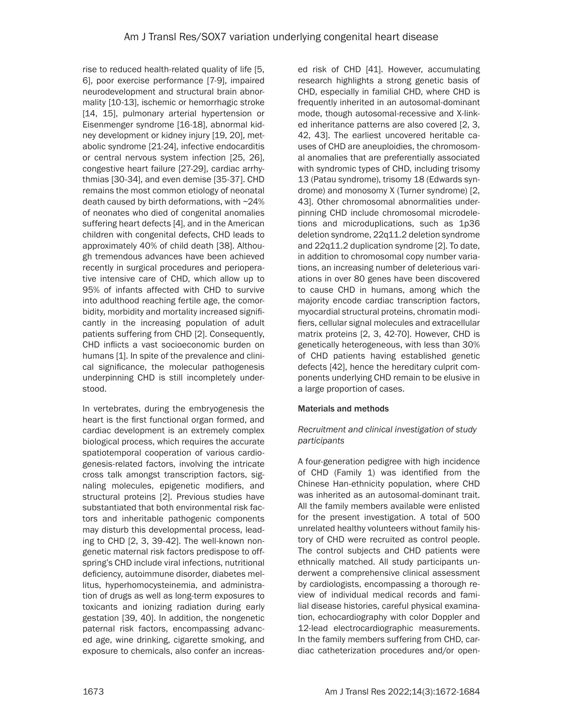rise to reduced health-related quality of life [5, 6], poor exercise performance [7-9], impaired neurodevelopment and structural brain abnormality [10-13], ischemic or hemorrhagic stroke [14, 15], pulmonary arterial hypertension or Eisenmenger syndrome [16-18], abnormal kidney development or kidney injury [19, 20], metabolic syndrome [21-24], infective endocarditis or central nervous system infection [25, 26], congestive heart failure [27-29], cardiac arrhythmias [30-34], and even demise [35-37]. CHD remains the most common etiology of neonatal death caused by birth deformations, with ~24% of neonates who died of congenital anomalies suffering heart defects [4], and in the American children with congenital defects, CHD leads to approximately 40% of child death [38]. Although tremendous advances have been achieved recently in surgical procedures and perioperative intensive care of CHD, which allow up to 95% of infants affected with CHD to survive into adulthood reaching fertile age, the comorbidity, morbidity and mortality increased significantly in the increasing population of adult patients suffering from CHD [2]. Consequently, CHD inflicts a vast socioeconomic burden on humans [1]. In spite of the prevalence and clinical significance, the molecular pathogenesis underpinning CHD is still incompletely understood.

In vertebrates, during the embryogenesis the heart is the first functional organ formed, and cardiac development is an extremely complex biological process, which requires the accurate spatiotemporal cooperation of various cardiogenesis-related factors, involving the intricate cross talk amongst transcription factors, signaling molecules, epigenetic modifiers, and structural proteins [2]. Previous studies have substantiated that both environmental risk factors and inheritable pathogenic components may disturb this developmental process, leading to CHD [2, 3, 39-42]. The well-known nongenetic maternal risk factors predispose to offspring's CHD include viral infections, nutritional deficiency, autoimmune disorder, diabetes mellitus, hyperhomocysteinemia, and administration of drugs as well as long-term exposures to toxicants and ionizing radiation during early gestation [39, 40]. In addition, the nongenetic paternal risk factors, encompassing advanced age, wine drinking, cigarette smoking, and exposure to chemicals, also confer an increased risk of CHD [41]. However, accumulating research highlights a strong genetic basis of CHD, especially in familial CHD, where CHD is frequently inherited in an autosomal-dominant mode, though autosomal-recessive and X-linked inheritance patterns are also covered [2, 3, 42, 43]. The earliest uncovered heritable causes of CHD are aneuploidies, the chromosomal anomalies that are preferentially associated with syndromic types of CHD, including trisomy 13 (Patau syndrome), trisomy 18 (Edwards syndrome) and monosomy X (Turner syndrome) [2, 43]. Other chromosomal abnormalities underpinning CHD include chromosomal microdeletions and microduplications, such as 1p36 deletion syndrome, 22q11.2 deletion syndrome and 22q11.2 duplication syndrome [2]. To date, in addition to chromosomal copy number variations, an increasing number of deleterious variations in over 80 genes have been discovered to cause CHD in humans, among which the majority encode cardiac transcription factors, myocardial structural proteins, chromatin modifiers, cellular signal molecules and extracellular matrix proteins [2, 3, 42-70]. However, CHD is genetically heterogeneous, with less than 30% of CHD patients having established genetic defects [42], hence the hereditary culprit components underlying CHD remain to be elusive in a large proportion of cases.

# Materials and methods

# *Recruitment and clinical investigation of study participants*

A four-generation pedigree with high incidence of CHD (Family 1) was identified from the Chinese Han-ethnicity population, where CHD was inherited as an autosomal-dominant trait. All the family members available were enlisted for the present investigation. A total of 500 unrelated healthy volunteers without family history of CHD were recruited as control people. The control subjects and CHD patients were ethnically matched. All study participants underwent a comprehensive clinical assessment by cardiologists, encompassing a thorough review of individual medical records and familial disease histories, careful physical examination, echocardiography with color Doppler and 12-lead electrocardiographic measurements. In the family members suffering from CHD, cardiac catheterization procedures and/or open-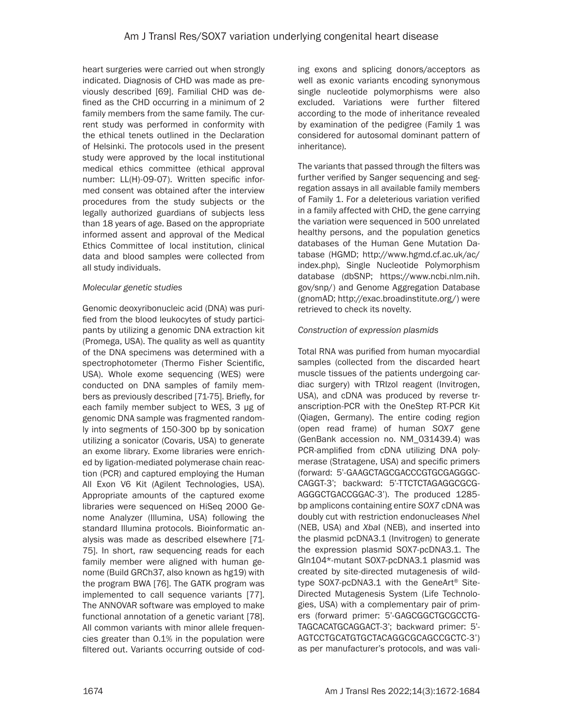heart surgeries were carried out when strongly indicated. Diagnosis of CHD was made as previously described [69]. Familial CHD was defined as the CHD occurring in a minimum of 2 family members from the same family. The current study was performed in conformity with the ethical tenets outlined in the Declaration of Helsinki. The protocols used in the present study were approved by the local institutional medical ethics committee (ethical approval number: LL(H)-09-07). Written specific informed consent was obtained after the interview procedures from the study subjects or the legally authorized guardians of subjects less than 18 years of age. Based on the appropriate informed assent and approval of the Medical Ethics Committee of local institution, clinical data and blood samples were collected from all study individuals.

## *Molecular genetic studies*

Genomic deoxyribonucleic acid (DNA) was purified from the blood leukocytes of study participants by utilizing a genomic DNA extraction kit (Promega, USA). The quality as well as quantity of the DNA specimens was determined with a spectrophotometer (Thermo Fisher Scientific, USA). Whole exome sequencing (WES) were conducted on DNA samples of family members as previously described [71-75]. Briefly, for each family member subject to WES, 3 µg of genomic DNA sample was fragmented randomly into segments of 150-300 bp by sonication utilizing a sonicator (Covaris, USA) to generate an exome library. Exome libraries were enriched by ligation-mediated polymerase chain reaction (PCR) and captured employing the Human All Exon V6 Kit (Agilent Technologies, USA). Appropriate amounts of the captured exome libraries were sequenced on HiSeq 2000 Genome Analyzer (Illumina, USA) following the standard Illumina protocols. Bioinformatic analysis was made as described elsewhere [71- 75]. In short, raw sequencing reads for each family member were aligned with human genome (Build GRCh37, also known as hg19) with the program BWA [76]. The GATK program was implemented to call sequence variants [77]. The ANNOVAR software was employed to make functional annotation of a genetic variant [78]. All common variants with minor allele frequencies greater than 0.1% in the population were filtered out. Variants occurring outside of coding exons and splicing donors/acceptors as well as exonic variants encoding synonymous single nucleotide polymorphisms were also excluded. Variations were further filtered according to the mode of inheritance revealed by examination of the pedigree (Family 1 was considered for autosomal dominant pattern of inheritance).

The variants that passed through the filters was further verified by Sanger sequencing and segregation assays in all available family members of Family 1. For a deleterious variation verified in a family affected with CHD, the gene carrying the variation were sequenced in 500 unrelated healthy persons, and the population genetics databases of the Human Gene Mutation Database (HGMD; http://www.hgmd.cf.ac.uk/ac/ index.php), Single Nucleotide Polymorphism database (dbSNP; https://www.ncbi.nlm.nih. gov/snp/) and Genome Aggregation Database (gnomAD; http://exac.broadinstitute.org/) were retrieved to check its novelty.

# *Construction of expression plasmids*

Total RNA was purified from human myocardial samples (collected from the discarded heart muscle tissues of the patients undergoing cardiac surgery) with TRIzol reagent (Invitrogen, USA), and cDNA was produced by reverse transcription-PCR with the OneStep RT-PCR Kit (Qiagen, Germany). The entire coding region (open read frame) of human *SOX7* gene (GenBank accession no. NM\_031439.4) was PCR-amplified from cDNA utilizing DNA polymerase (Stratagene, USA) and specific primers (forward: 5'-GAAGCTAGCGACCCGTGCGAGGGC-CAGGT-3'; backward: 5'-TTCTCTAGAGGCGCG-AGGGCTGACCGGAC-3'). The produced 1285 bp amplicons containing entire *SOX7* cDNA was doubly cut with restriction endonucleases *Nhe*I (NEB, USA) and *Xba*I (NEB), and inserted into the plasmid pcDNA3.1 (Invitrogen) to generate the expression plasmid SOX7-pcDNA3.1. The Gln104\*-mutant SOX7-pcDNA3.1 plasmid was created by site-directed mutagenesis of wildtype SOX7-pcDNA3.1 with the GeneArt® Site-Directed Mutagenesis System (Life Technologies, USA) with a complementary pair of primers (forward primer: 5'-GAGCGGCTGCGCCTG-TAGCACATGCAGGACT-3'; backward primer: 5'- AGTCCTGCATGTGCTACAGGCGCAGCCGCTC-3') as per manufacturer's protocols, and was vali-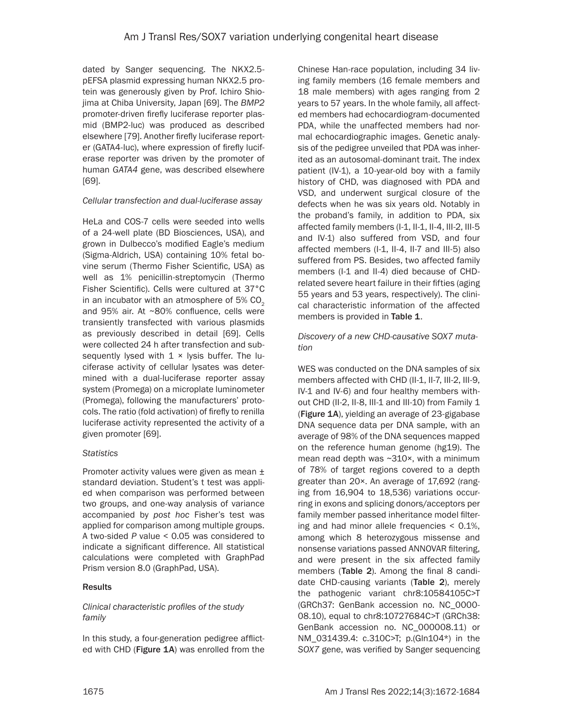dated by Sanger sequencing. The NKX2.5 pEFSA plasmid expressing human NKX2.5 protein was generously given by Prof. Ichiro Shiojima at Chiba University, Japan [69]. The *BMP2* promoter-driven firefly luciferase reporter plasmid (BMP2-luc) was produced as described elsewhere [79]. Another firefly luciferase reporter (GATA4-luc), where expression of firefly luciferase reporter was driven by the promoter of human *GATA4* gene, was described elsewhere [69].

## *Cellular transfection and dual-luciferase assay*

HeLa and COS-7 cells were seeded into wells of a 24-well plate (BD Biosciences, USA), and grown in Dulbecco's modified Eagle's medium (Sigma-Aldrich, USA) containing 10% fetal bovine serum (Thermo Fisher Scientific, USA) as well as 1% penicillin-streptomycin (Thermo Fisher Scientific). Cells were cultured at 37°C in an incubator with an atmosphere of  $5\%$  CO<sub>2</sub> and 95% air. At ~80% confluence, cells were transiently transfected with various plasmids as previously described in detail [69]. Cells were collected 24 h after transfection and subsequently lysed with  $1 \times$  lysis buffer. The luciferase activity of cellular lysates was determined with a dual-luciferase reporter assay system (Promega) on a microplate luminometer (Promega), following the manufacturers' protocols. The ratio (fold activation) of firefly to renilla luciferase activity represented the activity of a given promoter [69].

# *Statistics*

Promoter activity values were given as mean ± standard deviation. Student's t test was applied when comparison was performed between two groups, and one-way analysis of variance accompanied by *post hoc* Fisher's test was applied for comparison among multiple groups. A two-sided *P* value < 0.05 was considered to indicate a significant difference. All statistical calculations were completed with GraphPad Prism version 8.0 (GraphPad, USA).

# **Results**

#### *Clinical characteristic profiles of the study family*

In this study, a four-generation pedigree afflicted with CHD (Figure 1A) was enrolled from the Chinese Han-race population, including 34 living family members (16 female members and 18 male members) with ages ranging from 2 years to 57 years. In the whole family, all affected members had echocardiogram-documented PDA, while the unaffected members had normal echocardiographic images. Genetic analysis of the pedigree unveiled that PDA was inherited as an autosomal-dominant trait. The index patient (IV-1), a 10-year-old boy with a family history of CHD, was diagnosed with PDA and VSD, and underwent surgical closure of the defects when he was six years old. Notably in the proband's family, in addition to PDA, six affected family members (I-1, II-1, II-4, III-2, III-5 and IV-1) also suffered from VSD, and four affected members (I-1, II-4, II-7 and III-5) also suffered from PS. Besides, two affected family members (I-1 and II-4) died because of CHDrelated severe heart failure in their fifties (aging 55 years and 53 years, respectively). The clinical characteristic information of the affected members is provided in Table 1.

## *Discovery of a new CHD-causative SOX7 mutation*

WES was conducted on the DNA samples of six members affected with CHD (II-1, II-7, III-2, III-9, IV-1 and IV-6) and four healthy members without CHD (II-2, II-8, III-1 and III-10) from Family 1 (Figure 1A), yielding an average of 23-gigabase DNA sequence data per DNA sample, with an average of 98% of the DNA sequences mapped on the reference human genome (hg19). The mean read depth was ~310×, with a minimum of 78% of target regions covered to a depth greater than 20×. An average of 17,692 (ranging from 16,904 to 18,536) variations occurring in exons and splicing donors/acceptors per family member passed inheritance model filtering and had minor allele frequencies < 0.1%, among which 8 heterozygous missense and nonsense variations passed ANNOVAR filtering, and were present in the six affected family members (Table 2). Among the final 8 candidate CHD-causing variants (Table 2), merely the pathogenic variant chr8:10584105C>T (GRCh37: GenBank accession no. NC\_0000- 08.10), equal to chr8:10727684C>T (GRCh38: GenBank accession no. NC\_000008.11) or NM\_031439.4: c.310C>T; p.(Gln104\*) in the *SOX7* gene, was verified by Sanger sequencing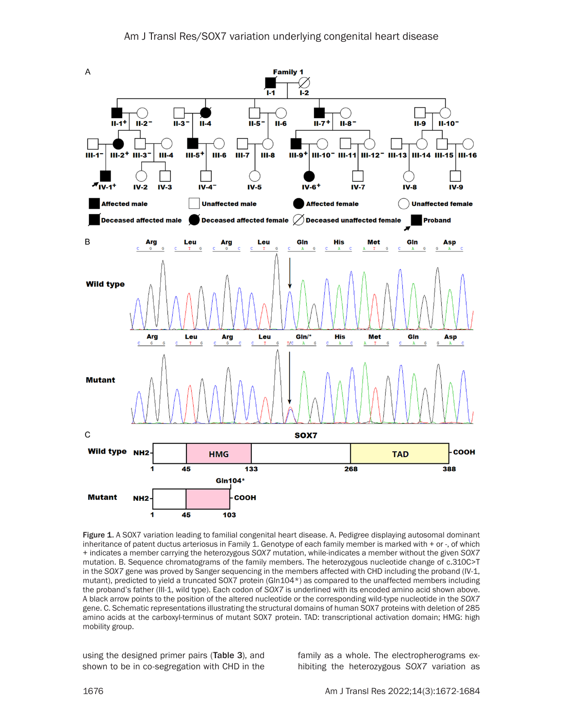

Figure 1. A SOX7 variation leading to familial congenital heart disease. A. Pedigree displaying autosomal dominant inheritance of patent ductus arteriosus in Family 1. Genotype of each family member is marked with + or -, of which + indicates a member carrying the heterozygous *SOX7* mutation, while-indicates a member without the given *SOX7* mutation. B. Sequence chromatograms of the family members. The heterozygous nucleotide change of c.310C>T in the *SOX7* gene was proved by Sanger sequencing in the members affected with CHD including the proband (IV-1, mutant), predicted to yield a truncated SOX7 protein (Gln104\*) as compared to the unaffected members including the proband's father (III-1, wild type). Each codon of *SOX7* is underlined with its encoded amino acid shown above. A black arrow points to the position of the altered nucleotide or the corresponding wild-type nucleotide in the *SOX7* gene. C. Schematic representations illustrating the structural domains of human SOX7 proteins with deletion of 285 amino acids at the carboxyl-terminus of mutant SOX7 protein. TAD: transcriptional activation domain; HMG: high mobility group.

using the designed primer pairs (Table 3), and shown to be in co-segregation with CHD in the family as a whole. The electropherograms exhibiting the heterozygous *SOX7* variation as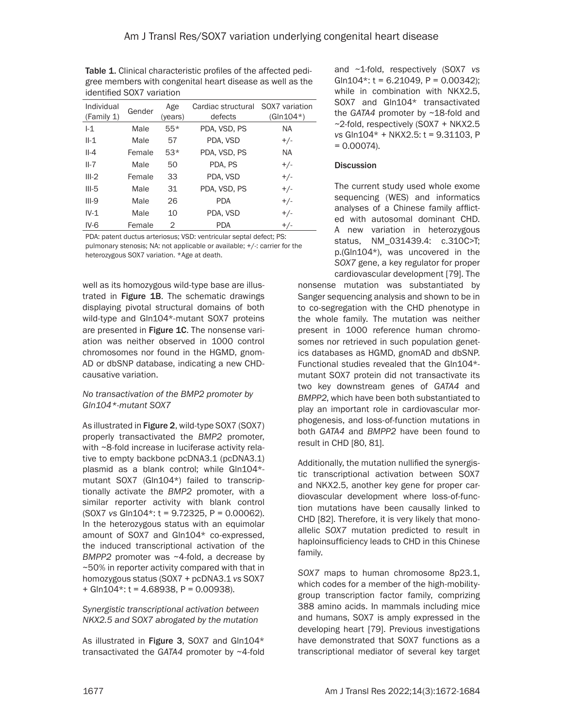| 1901191109 OOAT VOITGUOTI |        |                |                               |                               |  |  |  |  |  |
|---------------------------|--------|----------------|-------------------------------|-------------------------------|--|--|--|--|--|
| Individual<br>(Family 1)  | Gender | Age<br>(years) | Cardiac structural<br>defects | SOX7 variation<br>$(GIn104*)$ |  |  |  |  |  |
| $-1$                      | Male   | $55*$          | PDA, VSD, PS                  | <b>NA</b>                     |  |  |  |  |  |
| $II-1$                    | Male   | 57             | PDA, VSD                      | $+/-$                         |  |  |  |  |  |
| $II-4$                    | Female | $53*$          | PDA, VSD, PS                  | NA.                           |  |  |  |  |  |
| $II-7$                    | Male   | 50             | PDA. PS                       | $+/-$                         |  |  |  |  |  |
| $III-2$                   | Female | 33             | PDA, VSD                      | $+/-$                         |  |  |  |  |  |
| $III-5$                   | Male   | 31             | PDA, VSD, PS                  | $+/-$                         |  |  |  |  |  |
| $III-9$                   | Male   | 26             | <b>PDA</b>                    | $+/-$                         |  |  |  |  |  |
| $IV-1$                    | Male   | 10             | PDA, VSD                      | $+/-$                         |  |  |  |  |  |
| $IV-6$                    | Female | 2              | <b>PDA</b>                    | $+/-$                         |  |  |  |  |  |

Table 1. Clinical characteristic profiles of the affected pedigree members with congenital heart disease as well as the identified SOX7 variation

PDA: patent ductus arteriosus; VSD: ventricular septal defect; PS: pulmonary stenosis; NA: not applicable or available; +/-: carrier for the heterozygous SOX7 variation. \*Age at death.

well as its homozygous wild-type base are illustrated in Figure 1B. The schematic drawings displaying pivotal structural domains of both wild-type and Gln104\*-mutant SOX7 proteins are presented in Figure 1C. The nonsense variation was neither observed in 1000 control chromosomes nor found in the HGMD, gnom-AD or dbSNP database, indicating a new CHDcausative variation.

## *No transactivation of the BMP2 promoter by Gln104\*-mutant SOX7*

As illustrated in Figure 2, wild-type SOX7 (SOX7) properly transactivated the *BMP2* promoter, with ~8-fold increase in luciferase activity relative to empty backbone pcDNA3.1 (pcDNA3.1) plasmid as a blank control; while Gln104\* mutant SOX7 (Gln104\*) failed to transcriptionally activate the *BMP2* promoter, with a similar reporter activity with blank control (SOX7 *vs* Gln104\*: t = 9.72325, P = 0.00062). In the heterozygous status with an equimolar amount of SOX7 and Gln104\* co-expressed, the induced transcriptional activation of the *BMPP2* promoter was ~4-fold, a decrease by ~50% in reporter activity compared with that in homozygous status (SOX7 + pcDNA3.1 *vs* SOX7  $+$  Gln104\*: t = 4.68938, P = 0.00938).

*Synergistic transcriptional activation between NKX2.5 and SOX7 abrogated by the mutation*

As illustrated in Figure 3, SOX7 and Gln104\* transactivated the *GATA4* promoter by ~4-fold and ~1-fold, respectively (SOX7 *vs* Gln104\*:  $t = 6.21049$ ,  $P = 0.00342$ ); while in combination with NKX2.5, SOX7 and Gln104\* transactivated the *GATA4* promoter by ~18-fold and  $\sim$ 2-fold, respectively (SOX7 + NKX2.5 *vs* Gln104\* + NKX2.5: t = 9.31103, P  $= 0.00074$ ).

### **Discussion**

The current study used whole exome sequencing (WES) and informatics analyses of a Chinese family afflicted with autosomal dominant CHD. A new variation in heterozygous status, NM\_031439.4: c.310C>T; p.(Gln104\*), was uncovered in the *SOX7* gene, a key regulator for proper cardiovascular development [79]. The

nonsense mutation was substantiated by Sanger sequencing analysis and shown to be in to co-segregation with the CHD phenotype in the whole family. The mutation was neither present in 1000 reference human chromosomes nor retrieved in such population genetics databases as HGMD, gnomAD and dbSNP. Functional studies revealed that the Gln104\* mutant SOX7 protein did not transactivate its two key downstream genes of *GATA4* and *BMPP2*, which have been both substantiated to play an important role in cardiovascular morphogenesis, and loss-of-function mutations in both *GATA4* and *BMPP2* have been found to result in CHD [80, 81].

Additionally, the mutation nullified the synergistic transcriptional activation between SOX7 and NKX2.5, another key gene for proper cardiovascular development where loss-of-function mutations have been causally linked to CHD [82]. Therefore, it is very likely that monoallelic *SOX7* mutation predicted to result in haploinsufficiency leads to CHD in this Chinese family.

*SOX7* maps to human chromosome 8p23.1, which codes for a member of the high-mobilitygroup transcription factor family, comprizing 388 amino acids. In mammals including mice and humans, SOX7 is amply expressed in the developing heart [79]. Previous investigations have demonstrated that SOX7 functions as a transcriptional mediator of several key target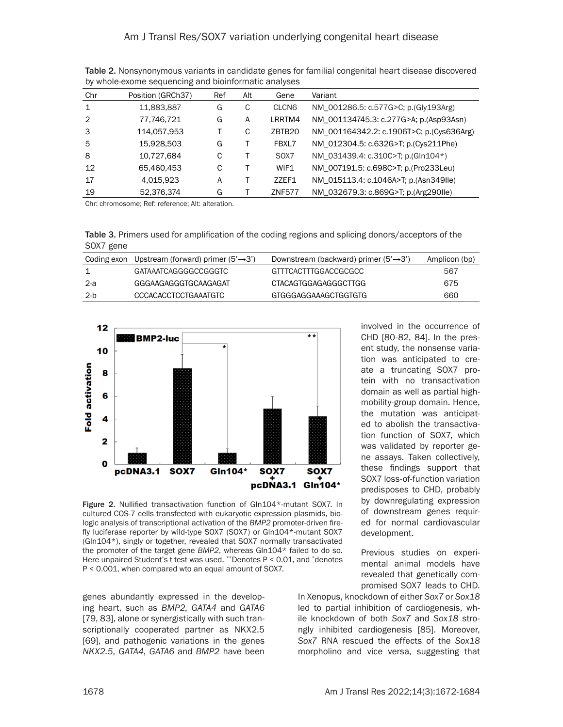| Chr            | Position (GRCh37) | Ref | Alt | Gene               | Variant                                  |
|----------------|-------------------|-----|-----|--------------------|------------------------------------------|
| $\mathbf{1}$   | 11,883,887        | G   | C   | CLCN <sub>6</sub>  | NM_001286.5: c.577G>C; p.(Gly193Arg)     |
| $\overline{2}$ | 77,746,721        | G   | Α   | LRRTM4             | NM_001134745.3: c.277G>A; p.(Asp93Asn)   |
| 3              | 114,057,953       |     | C   | ZBTB <sub>20</sub> | NM 001164342.2: c.1906T>C; p.(Cys636Arg) |
| 5              | 15,928,503        | G   |     | FBXL7              | NM_012304.5: c.632G>T; p.(Cys211Phe)     |
| 8              | 10,727,684        | C   |     | SOX7               | NM_031439.4: c.310C>T; p.(Gln104*)       |
| 12             | 65.460.453        | C   |     | WIF1               | NM_007191.5: c.698C>T; p.(Pro233Leu)     |
| 17             | 4,015,923         | A   |     | ZZEF1              | NM 015113.4: c.1046A>T; p.(Asn349IIe)    |
| 19             | 52,376,374        | G   |     | <b>ZNF577</b>      | NM_032679.3: c.869G>T; p.(Arg290lle)     |

Table 2. Nonsynonymous variants in candidate genes for familial congenital heart disease discovered by whole-exome sequencing and bioinformatic analyses

Chr: chromosome; Ref: reference; Alt: alteration.

Table 3. Primers used for amplification of the coding regions and splicing donors/acceptors of the SOX7 gene

|      | Coding exon Upstream (forward) primer $(5' \rightarrow 3')$ | Downstream (backward) primer $(5' \rightarrow 3')$ | Amplicon (bp) |
|------|-------------------------------------------------------------|----------------------------------------------------|---------------|
| 1    | GATAAATCAGGGGCCGGGTC                                        | GTTTCACTTTGGACCGCGCC                               | 567           |
| -2-a | GGGAAGAGGGTGCAAGAGAT                                        | CTACAGTGGAGAGGGCTTGG                               | 675           |
| -2-b | CCCACACCTCCTGAAATGTC                                        | GTGGGAGGAAAGCTGGTGTG                               | 660           |



Figure 2. Nullified transactivation function of Gln104\*-mutant SOX7. In cultured COS-7 cells transfected with eukaryotic expression plasmids, biologic analysis of transcriptional activation of the *BMP2* promoter-driven firefly luciferase reporter by wild-type SOX7 (SOX7) or Gln104\*-mutant SOX7 (Gln104\*), singly or together, revealed that SOX7 normally transactivated the promoter of the target gene *BMP2*, whereas Gln104\* failed to do so. Here unpaired Student's t test was used. \*\*Denotes P < 0.01, and \*denotes P < 0.001, when compared wto an equal amount of SOX7.

genes abundantly expressed in the developing heart, such as *BMP2*, *GATA4* and *GATA6* [79, 83], alone or synergistically with such transcriptionally cooperated partner as NKX2.5 [69], and pathogenic variations in the genes *NKX2.5*, *GATA4*, *GATA6* and *BMP2* have been

involved in the occurrence of CHD [80-82, 84]. In the present study, the nonsense variation was anticipated to create a truncating SOX7 protein with no transactivation domain as well as partial highmobility-group domain. Hence, the mutation was anticipated to abolish the transactivation function of SOX7, which was validated by reporter gene assays. Taken collectively, these findings support that SOX7 loss-of-function variation predisposes to CHD, probably by downregulating expression of downstream genes required for normal cardiovascular development.

Previous studies on experimental animal models have revealed that genetically compromised SOX7 leads to CHD.

In Xenopus, knockdown of either *Sox7* or *Sox18* led to partial inhibition of cardiogenesis, while knockdown of both *Sox7* and *Sox18* strongly inhibited cardiogenesis [85]. Moreover, *Sox7* RNA rescued the effects of the *Sox18* morpholino and vice versa, suggesting that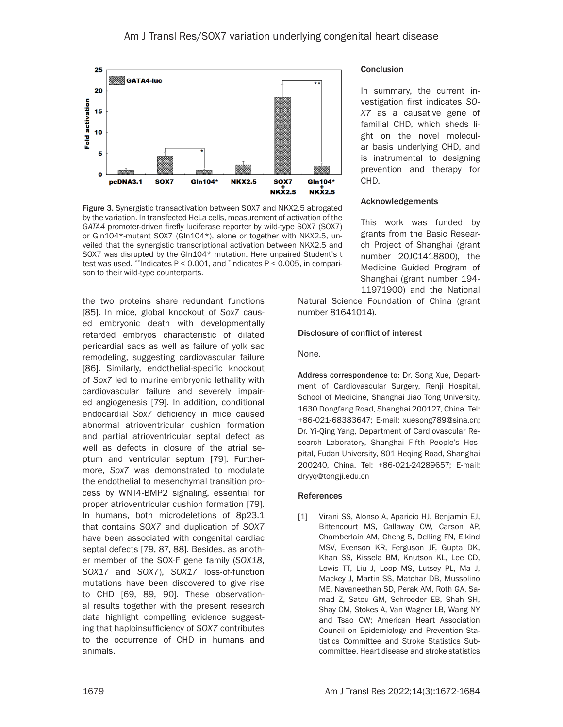

Figure 3. Synergistic transactivation between SOX7 and NKX2.5 abrogated by the variation. In transfected HeLa cells, measurement of activation of the *GATA4* promoter-driven firefly luciferase reporter by wild-type SOX7 (SOX7) or Gln104\*-mutant SOX7 (Gln104\*), alone or together with NKX2.5, unveiled that the synergistic transcriptional activation between NKX2.5 and SOX7 was disrupted by the Gln104\* mutation. Here unpaired Student's t test was used. \*\*Indicates P < 0.001, and \*indicates P < 0.005, in comparison to their wild-type counterparts.

the two proteins share redundant functions [85]. In mice, global knockout of *Sox7* caused embryonic death with developmentally retarded embryos characteristic of dilated pericardial sacs as well as failure of yolk sac remodeling, suggesting cardiovascular failure [86]. Similarly, endothelial-specific knockout of *Sox7* led to murine embryonic lethality with cardiovascular failure and severely impaired angiogenesis [79]. In addition, conditional endocardial *Sox7* deficiency in mice caused abnormal atrioventricular cushion formation and partial atrioventricular septal defect as well as defects in closure of the atrial septum and ventricular septum [79]. Furthermore, *Sox7* was demonstrated to modulate the endothelial to mesenchymal transition process by WNT4-BMP2 signaling, essential for proper atrioventricular cushion formation [79]. In humans, both microdeletions of 8p23.1 that contains *SOX7* and duplication of *SOX7* have been associated with congenital cardiac septal defects [79, 87, 88]. Besides, as another member of the SOX-F gene family (*SOX18*, *SOX17* and *SOX7*), *SOX17* loss-of-function mutations have been discovered to give rise to CHD [69, 89, 90]. These observational results together with the present research data highlight compelling evidence suggesting that haploinsufficiency of *SOX7* contributes to the occurrence of CHD in humans and animals.

#### **Conclusion**

In summary, the current investigation first indicates *SO-X7* as a causative gene of familial CHD, which sheds light on the novel molecular basis underlying CHD, and is instrumental to designing prevention and therapy for CHD.

#### Acknowledgements

This work was funded by grants from the Basic Research Project of Shanghai (grant number 20JC1418800), the Medicine Guided Program of Shanghai (grant number 194- 11971900) and the National

Natural Science Foundation of China (grant number 81641014).

#### Disclosure of conflict of interest

None.

Address correspondence to: Dr. Song Xue, Department of Cardiovascular Surgery, Renji Hospital, School of Medicine, Shanghai Jiao Tong University, 1630 Dongfang Road, Shanghai 200127, China. Tel: +86-021-68383647; E-mail: [xuesong789@sina.cn;](mailto:xuesong789@sina.cn) Dr. Yi-Qing Yang, Department of Cardiovascular Research Laboratory, Shanghai Fifth People's Hospital, Fudan University, 801 Heqing Road, Shanghai 200240, China. Tel: +86-021-24289657; E-mail: [dryyq@tongji.edu.cn](mailto:dryyq@tongji.edu.cn)

#### References

[1] Virani SS, Alonso A, Aparicio HJ, Benjamin EJ, Bittencourt MS, Callaway CW, Carson AP, Chamberlain AM, Cheng S, Delling FN, Elkind MSV, Evenson KR, Ferguson JF, Gupta DK, Khan SS, Kissela BM, Knutson KL, Lee CD, Lewis TT, Liu J, Loop MS, Lutsey PL, Ma J, Mackey J, Martin SS, Matchar DB, Mussolino ME, Navaneethan SD, Perak AM, Roth GA, Samad Z, Satou GM, Schroeder EB, Shah SH, Shay CM, Stokes A, Van Wagner LB, Wang NY and Tsao CW; American Heart Association Council on Epidemiology and Prevention Statistics Committee and Stroke Statistics Subcommittee. Heart disease and stroke statistics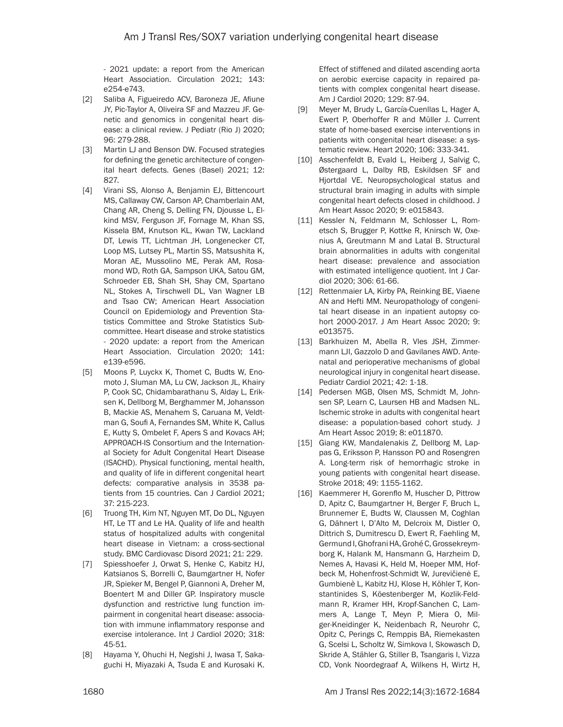- 2021 update: a report from the American Heart Association. Circulation 2021; 143: e254-e743.

- [2] Saliba A, Figueiredo ACV, Baroneza JE, Afiune JY, Pic-Taylor A, Oliveira SF and Mazzeu JF. Genetic and genomics in congenital heart disease: a clinical review. J Pediatr (Rio J) 2020; 96: 279-288.
- [3] Martin LJ and Benson DW. Focused strategies for defining the genetic architecture of congenital heart defects. Genes (Basel) 2021; 12: 827.
- [4] Virani SS, Alonso A, Benjamin EJ, Bittencourt MS, Callaway CW, Carson AP, Chamberlain AM, Chang AR, Cheng S, Delling FN, Djousse L, Elkind MSV, Ferguson JF, Fornage M, Khan SS, Kissela BM, Knutson KL, Kwan TW, Lackland DT, Lewis TT, Lichtman JH, Longenecker CT, Loop MS, Lutsey PL, Martin SS, Matsushita K, Moran AE, Mussolino ME, Perak AM, Rosamond WD, Roth GA, Sampson UKA, Satou GM, Schroeder EB, Shah SH, Shay CM, Spartano NL, Stokes A, Tirschwell DL, Van Wagner LB and Tsao CW; American Heart Association Council on Epidemiology and Prevention Statistics Committee and Stroke Statistics Subcommittee. Heart disease and stroke statistics - 2020 update: a report from the American Heart Association. Circulation 2020; 141: e139-e596.
- [5] Moons P, Luyckx K, Thomet C, Budts W, Enomoto J, Sluman MA, Lu CW, Jackson JL, Khairy P, Cook SC, Chidambarathanu S, Alday L, Eriksen K, Dellborg M, Berghammer M, Johansson B, Mackie AS, Menahem S, Caruana M, Veldtman G, Soufi A, Fernandes SM, White K, Callus E, Kutty S, Ombelet F, Apers S and Kovacs AH; APPROACH-IS Consortium and the International Society for Adult Congenital Heart Disease (ISACHD). Physical functioning, mental health, and quality of life in different congenital heart defects: comparative analysis in 3538 patients from 15 countries. Can J Cardiol 2021; 37: 215-223.
- [6] Truong TH, Kim NT, Nguyen MT, Do DL, Nguyen HT, Le TT and Le HA. Quality of life and health status of hospitalized adults with congenital heart disease in Vietnam: a cross-sectional study. BMC Cardiovasc Disord 2021; 21: 229.
- [7] Spiesshoefer J, Orwat S, Henke C, Kabitz HJ, Katsianos S, Borrelli C, Baumgartner H, Nofer JR, Spieker M, Bengel P, Giannoni A, Dreher M, Boentert M and Diller GP. Inspiratory muscle dysfunction and restrictive lung function impairment in congenital heart disease: association with immune inflammatory response and exercise intolerance. Int J Cardiol 2020; 318: 45-51.
- [8] Hayama Y, Ohuchi H, Negishi J, Iwasa T, Sakaguchi H, Miyazaki A, Tsuda E and Kurosaki K.

Effect of stiffened and dilated ascending aorta on aerobic exercise capacity in repaired patients with complex congenital heart disease. Am J Cardiol 2020; 129: 87-94.

- [9] Meyer M, Brudy L, García-Cuenllas L, Hager A, Ewert P, Oberhoffer R and Müller J. Current state of home-based exercise interventions in patients with congenital heart disease: a systematic review. Heart 2020; 106: 333-341.
- [10] Asschenfeldt B, Evald L, Heiberg J, Salvig C, Østergaard L, Dalby RB, Eskildsen SF and Hjortdal VE. Neuropsychological status and structural brain imaging in adults with simple congenital heart defects closed in childhood. J Am Heart Assoc 2020; 9: e015843.
- [11] Kessler N, Feldmann M, Schlosser L, Rometsch S, Brugger P, Kottke R, Knirsch W, Oxenius A, Greutmann M and Latal B. Structural brain abnormalities in adults with congenital heart disease: prevalence and association with estimated intelligence quotient. Int J Cardiol 2020; 306: 61-66.
- [12] Rettenmaier LA, Kirby PA, Reinking BE, Viaene AN and Hefti MM. Neuropathology of congenital heart disease in an inpatient autopsy cohort 2000-2017. J Am Heart Assoc 2020; 9: e013575.
- [13] Barkhuizen M, Abella R, Vles JSH, Zimmermann LJI, Gazzolo D and Gavilanes AWD. Antenatal and perioperative mechanisms of global neurological injury in congenital heart disease. Pediatr Cardiol 2021; 42: 1-18.
- [14] Pedersen MGB, Olsen MS, Schmidt M, Johnsen SP, Learn C, Laursen HB and Madsen NL. Ischemic stroke in adults with congenital heart disease: a population-based cohort study. J Am Heart Assoc 2019; 8: e011870.
- [15] Giang KW, Mandalenakis Z, Dellborg M, Lappas G, Eriksson P, Hansson PO and Rosengren A. Long-term risk of hemorrhagic stroke in young patients with congenital heart disease. Stroke 2018; 49: 1155-1162.
- [16] Kaemmerer H, Gorenflo M, Huscher D, Pittrow D, Apitz C, Baumgartner H, Berger F, Bruch L, Brunnemer E, Budts W, Claussen M, Coghlan G, Dähnert I, D'Alto M, Delcroix M, Distler O, Dittrich S, Dumitrescu D, Ewert R, Faehling M, Germund I, Ghofrani HA, Grohé C, Grossekreymborg K, Halank M, Hansmann G, Harzheim D, Nemes A, Havasi K, Held M, Hoeper MM, Hofbeck M, Hohenfrost-Schmidt W, Jurevičienė E, Gumbienè L, Kabitz HJ, Klose H, Köhler T, Konstantinides S, Köestenberger M, Kozlik-Feldmann R, Kramer HH, Kropf-Sanchen C, Lammers A, Lange T, Meyn P, Miera O, Milger-Kneidinger K, Neidenbach R, Neurohr C, Opitz C, Perings C, Remppis BA, Riemekasten G, Scelsi L, Scholtz W, Simkova I, Skowasch D, Skride A, Stähler G, Stiller B, Tsangaris I, Vizza CD, Vonk Noordegraaf A, Wilkens H, Wirtz H,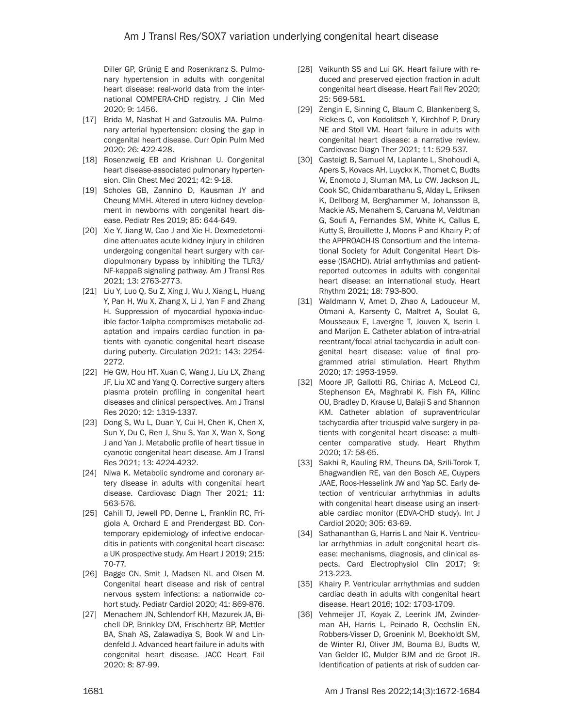Diller GP, Grünig E and Rosenkranz S. Pulmonary hypertension in adults with congenital heart disease: real-world data from the international COMPERA-CHD registry. J Clin Med 2020; 9: 1456.

- [17] Brida M, Nashat H and Gatzoulis MA. Pulmonary arterial hypertension: closing the gap in congenital heart disease. Curr Opin Pulm Med 2020; 26: 422-428.
- [18] Rosenzweig EB and Krishnan U. Congenital heart disease-associated pulmonary hypertension. Clin Chest Med 2021; 42: 9-18.
- [19] Scholes GB, Zannino D, Kausman JY and Cheung MMH. Altered in utero kidney development in newborns with congenital heart disease. Pediatr Res 2019; 85: 644-649.
- [20] Xie Y, Jiang W, Cao J and Xie H. Dexmedetomidine attenuates acute kidney injury in children undergoing congenital heart surgery with cardiopulmonary bypass by inhibiting the TLR3/ NF-kappaB signaling pathway. Am J Transl Res 2021; 13: 2763-2773.
- [21] Liu Y, Luo Q, Su Z, Xing J, Wu J, Xiang L, Huang Y, Pan H, Wu X, Zhang X, Li J, Yan F and Zhang H. Suppression of myocardial hypoxia-inducible factor-1alpha compromises metabolic adaptation and impairs cardiac function in patients with cyanotic congenital heart disease during puberty. Circulation 2021; 143: 2254- 2272.
- [22] He GW, Hou HT, Xuan C, Wang J, Liu LX, Zhang JF, Liu XC and Yang Q. Corrective surgery alters plasma protein profiling in congenital heart diseases and clinical perspectives. Am J Transl Res 2020; 12: 1319-1337.
- [23] Dong S, Wu L, Duan Y, Cui H, Chen K, Chen X, Sun Y, Du C, Ren J, Shu S, Yan X, Wan X, Song J and Yan J. Metabolic profile of heart tissue in cyanotic congenital heart disease. Am J Transl Res 2021; 13: 4224-4232.
- [24] Niwa K. Metabolic syndrome and coronary artery disease in adults with congenital heart disease. Cardiovasc Diagn Ther 2021; 11: 563-576.
- [25] Cahill TJ, Jewell PD, Denne L, Franklin RC, Frigiola A, Orchard E and Prendergast BD. Contemporary epidemiology of infective endocarditis in patients with congenital heart disease: a UK prospective study. Am Heart J 2019; 215: 70-77.
- [26] Bagge CN, Smit J, Madsen NL and Olsen M. Congenital heart disease and risk of central nervous system infections: a nationwide cohort study. Pediatr Cardiol 2020; 41: 869-876.
- [27] Menachem JN, Schlendorf KH, Mazurek JA, Bichell DP, Brinkley DM, Frischhertz BP, Mettler BA, Shah AS, Zalawadiya S, Book W and Lindenfeld J. Advanced heart failure in adults with congenital heart disease. JACC Heart Fail 2020; 8: 87-99.
- [28] Vaikunth SS and Lui GK. Heart failure with reduced and preserved ejection fraction in adult congenital heart disease. Heart Fail Rev 2020; 25: 569-581.
- [29] Zengin E, Sinning C, Blaum C, Blankenberg S, Rickers C, von Kodolitsch Y, Kirchhof P, Drury NE and Stoll VM. Heart failure in adults with congenital heart disease: a narrative review. Cardiovasc Diagn Ther 2021; 11: 529-537.
- [30] Casteigt B, Samuel M, Laplante L, Shohoudi A, Apers S, Kovacs AH, Luyckx K, Thomet C, Budts W, Enomoto J, Sluman MA, Lu CW, Jackson JL, Cook SC, Chidambarathanu S, Alday L, Eriksen K, Dellborg M, Berghammer M, Johansson B, Mackie AS, Menahem S, Caruana M, Veldtman G, Soufi A, Fernandes SM, White K, Callus E, Kutty S, Brouillette J, Moons P and Khairy P; of the APPROACH-IS Consortium and the International Society for Adult Congenital Heart Disease (ISACHD). Atrial arrhythmias and patientreported outcomes in adults with congenital heart disease: an international study. Heart Rhythm 2021; 18: 793-800.
- [31] Waldmann V, Amet D, Zhao A, Ladouceur M, Otmani A, Karsenty C, Maltret A, Soulat G, Mousseaux E, Lavergne T, Jouven X, Iserin L and Marijon E. Catheter ablation of intra-atrial reentrant/focal atrial tachycardia in adult congenital heart disease: value of final programmed atrial stimulation. Heart Rhythm 2020; 17: 1953-1959.
- [32] Moore JP, Gallotti RG, Chiriac A, McLeod CJ, Stephenson EA, Maghrabi K, Fish FA, Kilinc OU, Bradley D, Krause U, Balaji S and Shannon KM. Catheter ablation of supraventricular tachycardia after tricuspid valve surgery in patients with congenital heart disease: a multicenter comparative study. Heart Rhythm 2020; 17: 58-65.
- [33] Sakhi R, Kauling RM, Theuns DA, Szili-Torok T, Bhagwandien RE, van den Bosch AE, Cuypers JAAE, Roos-Hesselink JW and Yap SC. Early detection of ventricular arrhythmias in adults with congenital heart disease using an insertable cardiac monitor (EDVA-CHD study). Int J Cardiol 2020; 305: 63-69.
- [34] Sathananthan G, Harris L and Nair K. Ventricular arrhythmias in adult congenital heart disease: mechanisms, diagnosis, and clinical aspects. Card Electrophysiol Clin 2017; 9: 213-223.
- [35] Khairy P. Ventricular arrhythmias and sudden cardiac death in adults with congenital heart disease. Heart 2016; 102: 1703-1709.
- [36] Vehmeijer JT, Koyak Z, Leerink JM, Zwinderman AH, Harris L, Peinado R, Oechslin EN, Robbers-Visser D, Groenink M, Boekholdt SM, de Winter RJ, Oliver JM, Bouma BJ, Budts W, Van Gelder IC, Mulder BJM and de Groot JR. Identification of patients at risk of sudden car-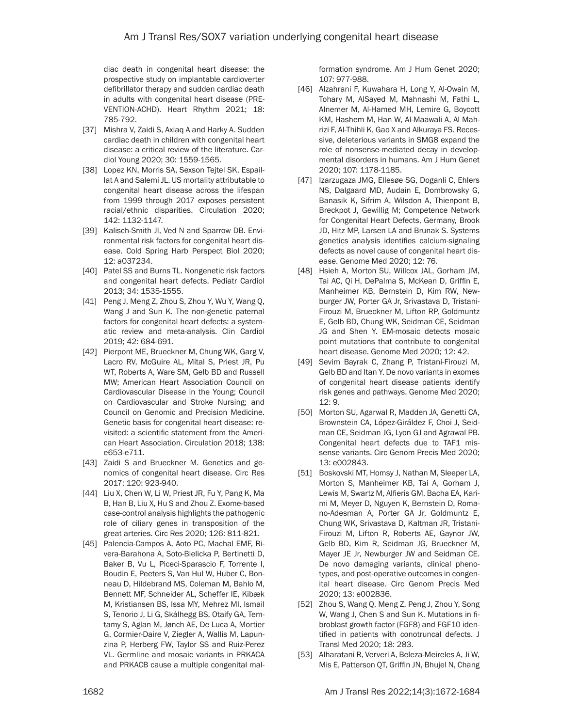diac death in congenital heart disease: the prospective study on implantable cardioverter defibrillator therapy and sudden cardiac death in adults with congenital heart disease (PRE-VENTION-ACHD). Heart Rhythm 2021; 18: 785-792.

- [37] Mishra V, Zaidi S, Axiaq A and Harky A. Sudden cardiac death in children with congenital heart disease: a critical review of the literature. Cardiol Young 2020; 30: 1559-1565.
- [38] Lopez KN, Morris SA, Sexson Tejtel SK, Espaillat A and Salemi JL. US mortality attributable to congenital heart disease across the lifespan from 1999 through 2017 exposes persistent racial/ethnic disparities. Circulation 2020; 142: 1132-1147.
- [39] Kalisch-Smith JI, Ved N and Sparrow DB. Environmental risk factors for congenital heart disease. Cold Spring Harb Perspect Biol 2020; 12: a037234.
- [40] Patel SS and Burns TL. Nongenetic risk factors and congenital heart defects. Pediatr Cardiol 2013; 34: 1535-1555.
- [41] Peng J, Meng Z, Zhou S, Zhou Y, Wu Y, Wang Q, Wang J and Sun K. The non-genetic paternal factors for congenital heart defects: a systematic review and meta-analysis. Clin Cardiol 2019; 42: 684-691.
- [42] Pierpont ME, Brueckner M, Chung WK, Garg V, Lacro RV, McGuire AL, Mital S, Priest JR, Pu WT, Roberts A, Ware SM, Gelb BD and Russell MW; American Heart Association Council on Cardiovascular Disease in the Young; Council on Cardiovascular and Stroke Nursing; and Council on Genomic and Precision Medicine. Genetic basis for congenital heart disease: revisited: a scientific statement from the American Heart Association. Circulation 2018; 138: e653-e711.
- [43] Zaidi S and Brueckner M. Genetics and genomics of congenital heart disease. Circ Res 2017; 120: 923-940.
- [44] Liu X, Chen W, Li W, Priest JR, Fu Y, Pang K, Ma B, Han B, Liu X, Hu S and Zhou Z. Exome-based case-control analysis highlights the pathogenic role of ciliary genes in transposition of the great arteries. Circ Res 2020; 126: 811-821.
- [45] Palencia-Campos A, Aoto PC, Machal EMF, Rivera-Barahona A, Soto-Bielicka P, Bertinetti D, Baker B, Vu L, Piceci-Sparascio F, Torrente I, Boudin E, Peeters S, Van Hul W, Huber C, Bonneau D, Hildebrand MS, Coleman M, Bahlo M, Bennett MF, Schneider AL, Scheffer IE, Kibæk M, Kristiansen BS, Issa MY, Mehrez MI, Ismail S, Tenorio J, Li G, Skålhegg BS, Otaify GA, Temtamy S, Aglan M, Jønch AE, De Luca A, Mortier G, Cormier-Daire V, Ziegler A, Wallis M, Lapunzina P, Herberg FW, Taylor SS and Ruiz-Perez VL. Germline and mosaic variants in PRKACA and PRKACB cause a multiple congenital mal-

formation syndrome. Am J Hum Genet 2020; 107: 977-988.

- [46] Alzahrani F, Kuwahara H, Long Y, Al-Owain M, Tohary M, AlSayed M, Mahnashi M, Fathi L, Alnemer M, Al-Hamed MH, Lemire G, Boycott KM, Hashem M, Han W, Al-Maawali A, Al Mahrizi F, Al-Thihli K, Gao X and Alkuraya FS. Recessive, deleterious variants in SMG8 expand the role of nonsense-mediated decay in developmental disorders in humans. Am J Hum Genet 2020; 107: 1178-1185.
- [47] Izarzugaza JMG, Ellesøe SG, Doganli C, Ehlers NS, Dalgaard MD, Audain E, Dombrowsky G, Banasik K, Sifrim A, Wilsdon A, Thienpont B, Breckpot J, Gewillig M; Competence Network for Congenital Heart Defects, Germany, Brook JD, Hitz MP, Larsen LA and Brunak S. Systems genetics analysis identifies calcium-signaling defects as novel cause of congenital heart disease. Genome Med 2020; 12: 76.
- [48] Hsieh A, Morton SU, Willcox JAL, Gorham JM, Tai AC, Qi H, DePalma S, McKean D, Griffin E, Manheimer KB, Bernstein D, Kim RW, Newburger JW, Porter GA Jr, Srivastava D, Tristani-Firouzi M, Brueckner M, Lifton RP, Goldmuntz E, Gelb BD, Chung WK, Seidman CE, Seidman JG and Shen Y. EM-mosaic detects mosaic point mutations that contribute to congenital heart disease. Genome Med 2020; 12: 42.
- [49] Sevim Bayrak C, Zhang P, Tristani-Firouzi M, Gelb BD and Itan Y. De novo variants in exomes of congenital heart disease patients identify risk genes and pathways. Genome Med 2020;  $12.9$
- [50] Morton SU, Agarwal R, Madden JA, Genetti CA, Brownstein CA, López-Giráldez F, Choi J, Seidman CE, Seidman JG, Lyon GJ and Agrawal PB. Congenital heart defects due to TAF1 missense variants. Circ Genom Precis Med 2020; 13: e002843.
- [51] Boskovski MT, Homsy J, Nathan M, Sleeper LA, Morton S, Manheimer KB, Tai A, Gorham J, Lewis M, Swartz M, Alfieris GM, Bacha EA, Karimi M, Meyer D, Nguyen K, Bernstein D, Romano-Adesman A, Porter GA Jr, Goldmuntz E, Chung WK, Srivastava D, Kaltman JR, Tristani-Firouzi M, Lifton R, Roberts AE, Gaynor JW, Gelb BD, Kim R, Seidman JG, Brueckner M, Mayer JE Jr, Newburger JW and Seidman CE. De novo damaging variants, clinical phenotypes, and post-operative outcomes in congenital heart disease. Circ Genom Precis Med 2020; 13: e002836.
- [52] Zhou S, Wang Q, Meng Z, Peng J, Zhou Y, Song W, Wang J, Chen S and Sun K. Mutations in fibroblast growth factor (FGF8) and FGF10 identified in patients with conotruncal defects. J Transl Med 2020; 18: 283.
- [53] Alharatani R, Ververi A, Beleza-Meireles A, Ji W, Mis E, Patterson QT, Griffin JN, Bhujel N, Chang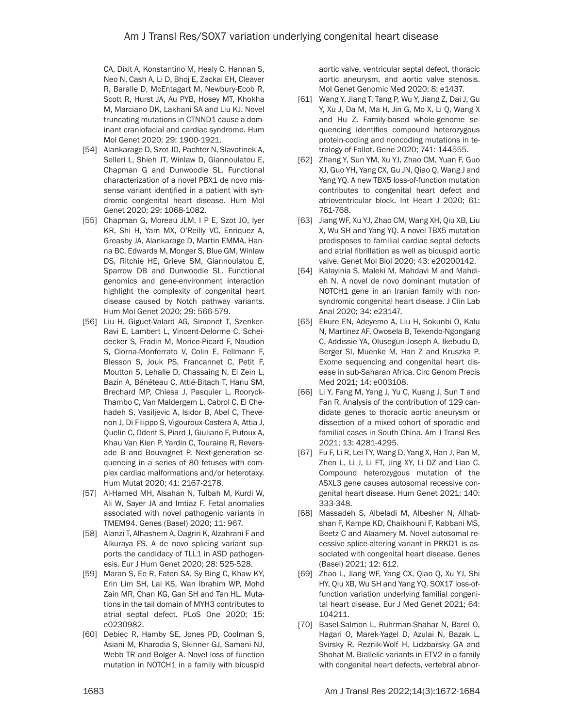CA, Dixit A, Konstantino M, Healy C, Hannan S, Neo N, Cash A, Li D, Bhoj E, Zackai EH, Cleaver R, Baralle D, McEntagart M, Newbury-Ecob R, Scott R, Hurst JA, Au PYB, Hosey MT, Khokha M, Marciano DK, Lakhani SA and Liu KJ. Novel truncating mutations in CTNND1 cause a dominant craniofacial and cardiac syndrome. Hum Mol Genet 2020; 29: 1900-1921.

- [54] Alankarage D, Szot JO, Pachter N, Slavotinek A, Selleri L, Shieh JT, Winlaw D, Giannoulatou E, Chapman G and Dunwoodie SL. Functional characterization of a novel PBX1 de novo missense variant identified in a patient with syndromic congenital heart disease. Hum Mol Genet 2020; 29: 1068-1082.
- [55] Chapman G, Moreau JLM, I P E, Szot JO, Iyer KR, Shi H, Yam MX, O'Reilly VC, Enriquez A, Greasby JA, Alankarage D, Martin EMMA, Hanna BC, Edwards M, Monger S, Blue GM, Winlaw DS, Ritchie HE, Grieve SM, Giannoulatou E, Sparrow DB and Dunwoodie SL. Functional genomics and gene-environment interaction highlight the complexity of congenital heart disease caused by Notch pathway variants. Hum Mol Genet 2020; 29: 566-579.
- [56] Liu H, Giguet-Valard AG, Simonet T, Szenker-Ravi E, Lambert L, Vincent-Delorme C, Scheidecker S, Fradin M, Morice-Picard F, Naudion S, Ciorna-Monferrato V, Colin E, Fellmann F, Blesson S, Jouk PS, Francannet C, Petit F, Moutton S, Lehalle D, Chassaing N, El Zein L, Bazin A, Bénéteau C, Attié-Bitach T, Hanu SM, Brechard MP, Chiesa J, Pasquier L, Rooryck-Thambo C, Van Maldergem L, Cabrol C, El Chehadeh S, Vasiljevic A, Isidor B, Abel C, Thevenon J, Di Filippo S, Vigouroux-Castera A, Attia J, Quelin C, Odent S, Piard J, Giuliano F, Putoux A, Khau Van Kien P, Yardin C, Touraine R, Reversade B and Bouvagnet P. Next-generation sequencing in a series of 80 fetuses with complex cardiac malformations and/or heterotaxy. Hum Mutat 2020; 41: 2167-2178.
- [57] Al-Hamed MH, Alsahan N, Tulbah M, Kurdi W, Ali W, Sayer JA and Imtiaz F. Fetal anomalies associated with novel pathogenic variants in TMEM94. Genes (Basel) 2020; 11: 967.
- [58] Alanzi T, Alhashem A, Dagriri K, Alzahrani F and Alkuraya FS. A de novo splicing variant supports the candidacy of TLL1 in ASD pathogenesis. Eur J Hum Genet 2020; 28: 525-528.
- [59] Maran S, Ee R, Faten SA, Sy Bing C, Khaw KY, Erin Lim SH, Lai KS, Wan Ibrahim WP, Mohd Zain MR, Chan KG, Gan SH and Tan HL. Mutations in the tail domain of MYH3 contributes to atrial septal defect. PLoS One 2020; 15: e0230982.
- [60] Debiec R, Hamby SE, Jones PD, Coolman S, Asiani M, Kharodia S, Skinner GJ, Samani NJ, Webb TR and Bolger A. Novel loss of function mutation in NOTCH1 in a family with bicuspid

aortic valve, ventricular septal defect, thoracic aortic aneurysm, and aortic valve stenosis. Mol Genet Genomic Med 2020; 8: e1437.

- [61] Wang Y, Jiang T, Tang P, Wu Y, Jiang Z, Dai J, Gu Y, Xu J, Da M, Ma H, Jin G, Mo X, Li Q, Wang X and Hu Z. Family-based whole-genome sequencing identifies compound heterozygous protein-coding and noncoding mutations in tetralogy of Fallot. Gene 2020; 741: 144555.
- [62] Zhang Y, Sun YM, Xu YJ, Zhao CM, Yuan F, Guo XJ, Guo YH, Yang CX, Gu JN, Qiao Q, Wang J and Yang YQ. A new TBX5 loss-of-function mutation contributes to congenital heart defect and atrioventricular block. Int Heart J 2020; 61: 761-768.
- [63] Jiang WF, Xu YJ, Zhao CM, Wang XH, Qiu XB, Liu X, Wu SH and Yang YQ. A novel TBX5 mutation predisposes to familial cardiac septal defects and atrial fibrillation as well as bicuspid aortic valve. Genet Mol Biol 2020; 43: e20200142.
- [64] Kalayinia S, Maleki M, Mahdavi M and Mahdieh N. A novel de novo dominant mutation of NOTCH1 gene in an Iranian family with nonsyndromic congenital heart disease. J Clin Lab Anal 2020; 34: e23147.
- [65] Ekure EN, Adeyemo A, Liu H, Sokunbi O, Kalu N, Martinez AF, Owosela B, Tekendo-Ngongang C, Addissie YA, Olusegun-Joseph A, Ikebudu D, Berger SI, Muenke M, Han Z and Kruszka P. Exome sequencing and congenital heart disease in sub-Saharan Africa. Circ Genom Precis Med 2021; 14: e003108.
- [66] Li Y, Fang M, Yang J, Yu C, Kuang J, Sun T and Fan R. Analysis of the contribution of 129 candidate genes to thoracic aortic aneurysm or dissection of a mixed cohort of sporadic and familial cases in South China. Am J Transl Res 2021; 13: 4281-4295.
- [67] Fu F, Li R, Lei TY, Wang D, Yang X, Han J, Pan M, Zhen L, Li J, Li FT, Jing XY, Li DZ and Liao C. Compound heterozygous mutation of the ASXL3 gene causes autosomal recessive congenital heart disease. Hum Genet 2021; 140: 333-348.
- [68] Massadeh S, Albeladi M, Albesher N, Alhabshan F, Kampe KD, Chaikhouni F, Kabbani MS, Beetz C and Alaamery M. Novel autosomal recessive splice-altering variant in PRKD1 is associated with congenital heart disease. Genes (Basel) 2021; 12: 612.
- [69] Zhao L, Jiang WF, Yang CX, Qiao Q, Xu YJ, Shi HY, Qiu XB, Wu SH and Yang YQ. SOX17 loss-offunction variation underlying familial congenital heart disease. Eur J Med Genet 2021; 64: 104211.
- [70] Basel-Salmon L, Ruhrman-Shahar N, Barel O, Hagari O, Marek-Yagel D, Azulai N, Bazak L, Svirsky R, Reznik-Wolf H, Lidzbarsky GA and Shohat M. Biallelic variants in ETV2 in a family with congenital heart defects, vertebral abnor-